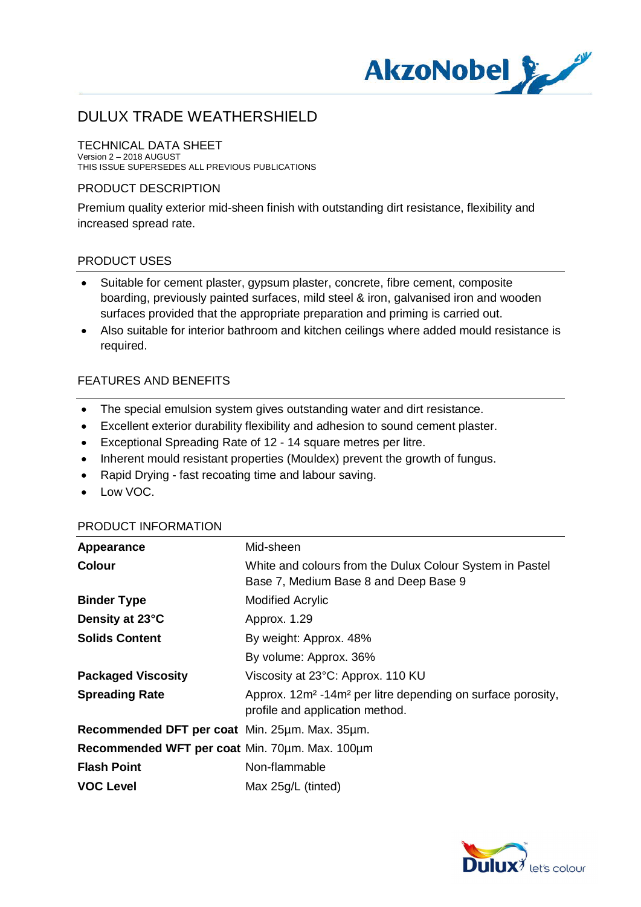

#### TECHNICAL DATA SHEET Version 2 – 2018 AUGUST

THIS ISSUE SUPERSEDES ALL PREVIOUS PUBLICATIONS

#### PRODUCT DESCRIPTION

Premium quality exterior mid-sheen finish with outstanding dirt resistance, flexibility and increased spread rate.

### PRODUCT USES

- · Suitable for cement plaster, gypsum plaster, concrete, fibre cement, composite boarding, previously painted surfaces, mild steel & iron, galvanised iron and wooden surfaces provided that the appropriate preparation and priming is carried out.
- · Also suitable for interior bathroom and kitchen ceilings where added mould resistance is required.

### FEATURES AND BENEFITS

- · The special emulsion system gives outstanding water and dirt resistance.
- · Excellent exterior durability flexibility and adhesion to sound cement plaster.
- · Exceptional Spreading Rate of 12 14 square metres per litre.
- Inherent mould resistant properties (Mouldex) prevent the growth of fungus.
- · Rapid Drying fast recoating time and labour saving.
- · Low VOC.

#### PRODUCT INFORMATION

| Appearance                                     | Mid-sheen                                                                                                              |
|------------------------------------------------|------------------------------------------------------------------------------------------------------------------------|
| <b>Colour</b>                                  | White and colours from the Dulux Colour System in Pastel<br>Base 7, Medium Base 8 and Deep Base 9                      |
| <b>Binder Type</b>                             | <b>Modified Acrylic</b>                                                                                                |
| Density at 23°C                                | Approx. 1.29                                                                                                           |
| <b>Solids Content</b>                          | By weight: Approx. 48%                                                                                                 |
|                                                | By volume: Approx. 36%                                                                                                 |
| <b>Packaged Viscosity</b>                      | Viscosity at 23°C: Approx. 110 KU                                                                                      |
| <b>Spreading Rate</b>                          | Approx. 12m <sup>2</sup> -14m <sup>2</sup> per litre depending on surface porosity,<br>profile and application method. |
| Recommended DFT per coat Min. 25µm. Max. 35µm. |                                                                                                                        |
| Recommended WFT per coat Min. 70um. Max. 100um |                                                                                                                        |
| <b>Flash Point</b>                             | Non-flammable                                                                                                          |
| <b>VOC Level</b>                               | Max 25g/L (tinted)                                                                                                     |

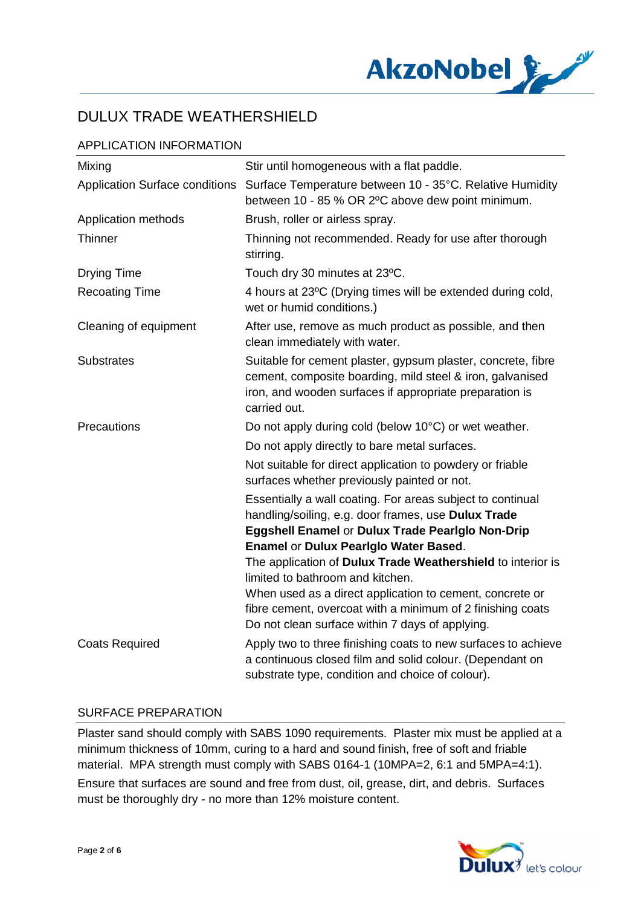

## APPLICATION INFORMATION

| Mixing                                | Stir until homogeneous with a flat paddle.                                                                                                                                                                            |
|---------------------------------------|-----------------------------------------------------------------------------------------------------------------------------------------------------------------------------------------------------------------------|
| <b>Application Surface conditions</b> | Surface Temperature between 10 - 35°C. Relative Humidity<br>between 10 - 85 % OR 2°C above dew point minimum.                                                                                                         |
| Application methods                   | Brush, roller or airless spray.                                                                                                                                                                                       |
| Thinner                               | Thinning not recommended. Ready for use after thorough<br>stirring.                                                                                                                                                   |
| <b>Drying Time</b>                    | Touch dry 30 minutes at 23°C.                                                                                                                                                                                         |
| <b>Recoating Time</b>                 | 4 hours at 23°C (Drying times will be extended during cold,<br>wet or humid conditions.)                                                                                                                              |
| Cleaning of equipment                 | After use, remove as much product as possible, and then<br>clean immediately with water.                                                                                                                              |
| <b>Substrates</b>                     | Suitable for cement plaster, gypsum plaster, concrete, fibre<br>cement, composite boarding, mild steel & iron, galvanised<br>iron, and wooden surfaces if appropriate preparation is<br>carried out.                  |
| Precautions                           | Do not apply during cold (below 10°C) or wet weather.                                                                                                                                                                 |
|                                       | Do not apply directly to bare metal surfaces.                                                                                                                                                                         |
|                                       | Not suitable for direct application to powdery or friable<br>surfaces whether previously painted or not.                                                                                                              |
|                                       | Essentially a wall coating. For areas subject to continual<br>handling/soiling, e.g. door frames, use Dulux Trade<br>Eggshell Enamel or Dulux Trade Pearlglo Non-Drip<br><b>Enamel or Dulux Pearlglo Water Based.</b> |
|                                       | The application of Dulux Trade Weathershield to interior is<br>limited to bathroom and kitchen.                                                                                                                       |
|                                       | When used as a direct application to cement, concrete or<br>fibre cement, overcoat with a minimum of 2 finishing coats<br>Do not clean surface within 7 days of applying.                                             |
| <b>Coats Required</b>                 | Apply two to three finishing coats to new surfaces to achieve<br>a continuous closed film and solid colour. (Dependant on<br>substrate type, condition and choice of colour).                                         |

### SURFACE PREPARATION

Plaster sand should comply with SABS 1090 requirements. Plaster mix must be applied at a minimum thickness of 10mm, curing to a hard and sound finish, free of soft and friable material. MPA strength must comply with SABS 0164-1 (10MPA=2, 6:1 and 5MPA=4:1). Ensure that surfaces are sound and free from dust, oil, grease, dirt, and debris. Surfaces must be thoroughly dry - no more than 12% moisture content.

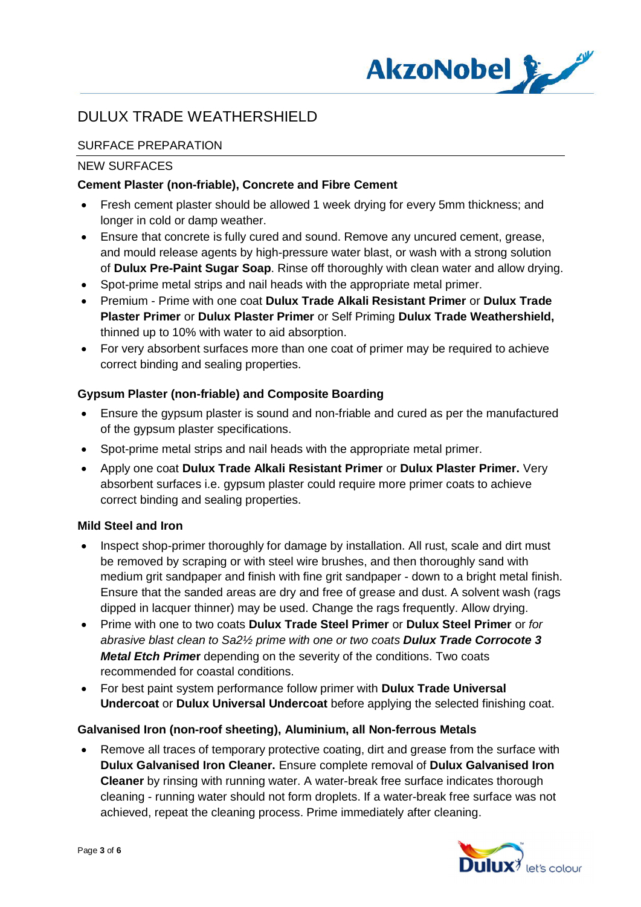

## SURFACE PREPARATION

#### NEW SURFACES

### **Cement Plaster (non-friable), Concrete and Fibre Cement**

- · Fresh cement plaster should be allowed 1 week drying for every 5mm thickness; and longer in cold or damp weather.
- · Ensure that concrete is fully cured and sound. Remove any uncured cement, grease, and mould release agents by high-pressure water blast, or wash with a strong solution of **Dulux Pre-Paint Sugar Soap**. Rinse off thoroughly with clean water and allow drying.
- · Spot-prime metal strips and nail heads with the appropriate metal primer.
- · Premium Prime with one coat **Dulux Trade Alkali Resistant Primer** or **Dulux Trade Plaster Primer** or **Dulux Plaster Primer** or Self Priming **Dulux Trade Weathershield,** thinned up to 10% with water to aid absorption.
- · For very absorbent surfaces more than one coat of primer may be required to achieve correct binding and sealing properties.

### **Gypsum Plaster (non-friable) and Composite Boarding**

- · Ensure the gypsum plaster is sound and non-friable and cured as per the manufactured of the gypsum plaster specifications.
- · Spot-prime metal strips and nail heads with the appropriate metal primer.
- · Apply one coat **Dulux Trade Alkali Resistant Primer** or **Dulux Plaster Primer.** Very absorbent surfaces i.e. gypsum plaster could require more primer coats to achieve correct binding and sealing properties.

#### **Mild Steel and Iron**

- · Inspect shop-primer thoroughly for damage by installation. All rust, scale and dirt must be removed by scraping or with steel wire brushes, and then thoroughly sand with medium grit sandpaper and finish with fine grit sandpaper - down to a bright metal finish. Ensure that the sanded areas are dry and free of grease and dust. A solvent wash (rags dipped in lacquer thinner) may be used. Change the rags frequently. Allow drying.
- · Prime with one to two coats **Dulux Trade Steel Primer** or **Dulux Steel Primer** or *for abrasive blast clean to Sa2½ prime with one or two coats Dulux Trade Corrocote 3 Metal Etch Prime***r** depending on the severity of the conditions. Two coats recommended for coastal conditions.
- · For best paint system performance follow primer with **Dulux Trade Universal Undercoat** or **Dulux Universal Undercoat** before applying the selected finishing coat.

#### **Galvanised Iron (non-roof sheeting), Aluminium, all Non-ferrous Metals**

· Remove all traces of temporary protective coating, dirt and grease from the surface with **Dulux Galvanised Iron Cleaner.** Ensure complete removal of **Dulux Galvanised Iron Cleaner** by rinsing with running water. A water-break free surface indicates thorough cleaning - running water should not form droplets. If a water-break free surface was not achieved, repeat the cleaning process. Prime immediately after cleaning.

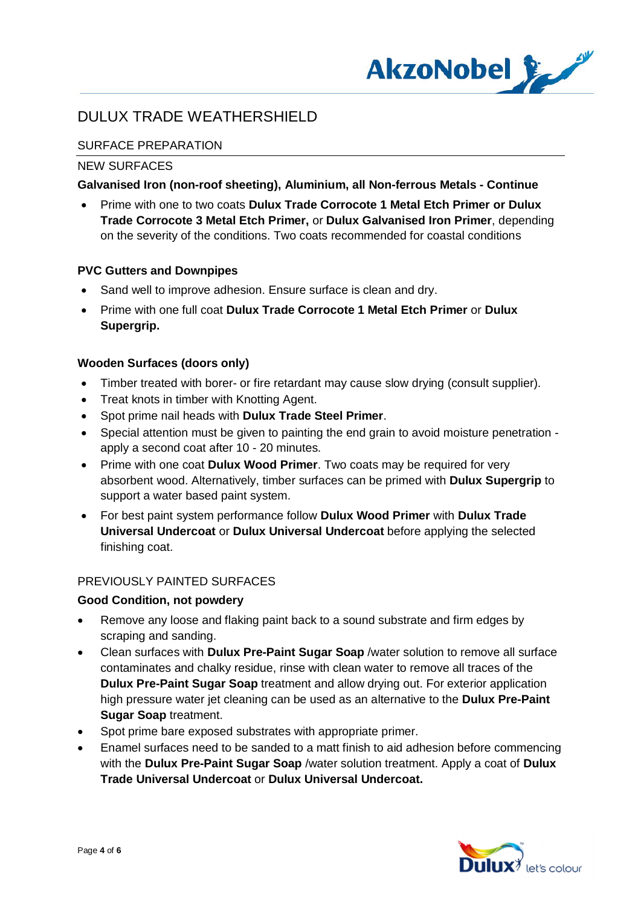

## SURFACE PREPARATION

#### NEW SURFACES

#### **Galvanised Iron (non-roof sheeting), Aluminium, all Non-ferrous Metals - Continue**

· Prime with one to two coats **Dulux Trade Corrocote 1 Metal Etch Primer or Dulux Trade Corrocote 3 Metal Etch Primer,** or **Dulux Galvanised Iron Primer**, depending on the severity of the conditions. Two coats recommended for coastal conditions

#### **PVC Gutters and Downpipes**

- Sand well to improve adhesion. Ensure surface is clean and dry.
- · Prime with one full coat **Dulux Trade Corrocote 1 Metal Etch Primer** or **Dulux Supergrip.**

### **Wooden Surfaces (doors only)**

- · Timber treated with borer- or fire retardant may cause slow drying (consult supplier).
- Treat knots in timber with Knotting Agent.
- · Spot prime nail heads with **Dulux Trade Steel Primer**.
- · Special attention must be given to painting the end grain to avoid moisture penetration apply a second coat after 10 - 20 minutes.
- · Prime with one coat **Dulux Wood Primer**. Two coats may be required for very absorbent wood. Alternatively, timber surfaces can be primed with **Dulux Supergrip** to support a water based paint system.
- · For best paint system performance follow **Dulux Wood Primer** with **Dulux Trade Universal Undercoat** or **Dulux Universal Undercoat** before applying the selected finishing coat.

### PREVIOUSLY PAINTED SURFACES

#### **Good Condition, not powdery**

- Remove any loose and flaking paint back to a sound substrate and firm edges by scraping and sanding.
- · Clean surfaces with **Dulux Pre-Paint Sugar Soap** /water solution to remove all surface contaminates and chalky residue, rinse with clean water to remove all traces of the **Dulux Pre-Paint Sugar Soap** treatment and allow drying out. For exterior application high pressure water jet cleaning can be used as an alternative to the **Dulux Pre-Paint Sugar Soap** treatment.
- Spot prime bare exposed substrates with appropriate primer.
- · Enamel surfaces need to be sanded to a matt finish to aid adhesion before commencing with the **Dulux Pre-Paint Sugar Soap** /water solution treatment. Apply a coat of **Dulux Trade Universal Undercoat** or **Dulux Universal Undercoat.**

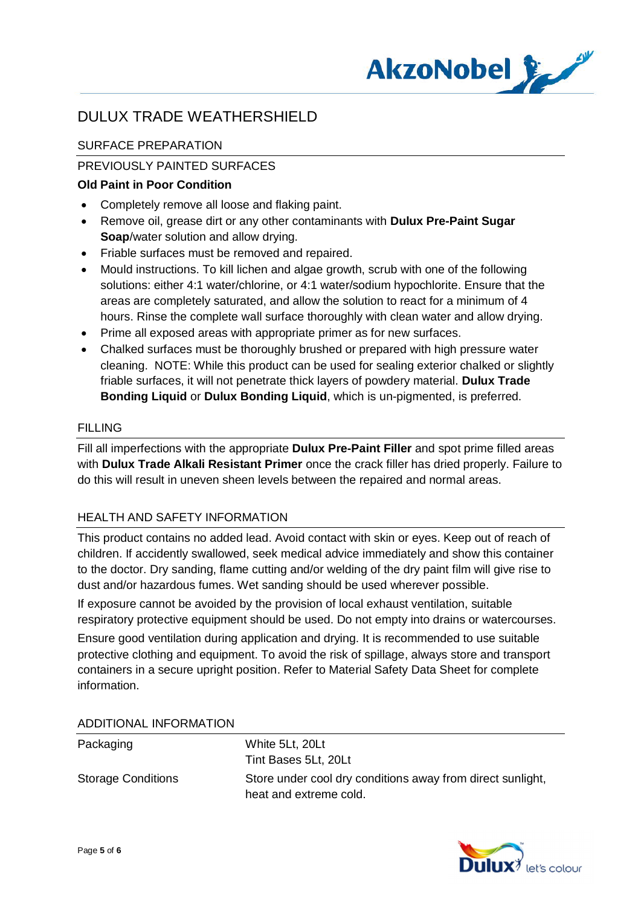

## SURFACE PREPARATION

### PREVIOUSLY PAINTED SURFACES

### **Old Paint in Poor Condition**

- · Completely remove all loose and flaking paint.
- · Remove oil, grease dirt or any other contaminants with **Dulux Pre-Paint Sugar Soap**/water solution and allow drying.
- · Friable surfaces must be removed and repaired.
- · Mould instructions. To kill lichen and algae growth, scrub with one of the following solutions: either 4:1 water/chlorine, or 4:1 water/sodium hypochlorite. Ensure that the areas are completely saturated, and allow the solution to react for a minimum of 4 hours. Rinse the complete wall surface thoroughly with clean water and allow drying.
- · Prime all exposed areas with appropriate primer as for new surfaces.
- · Chalked surfaces must be thoroughly brushed or prepared with high pressure water cleaning. NOTE: While this product can be used for sealing exterior chalked or slightly friable surfaces, it will not penetrate thick layers of powdery material. **Dulux Trade Bonding Liquid** or **Dulux Bonding Liquid**, which is un-pigmented, is preferred.

#### FILLING

Fill all imperfections with the appropriate **Dulux Pre-Paint Filler** and spot prime filled areas with **Dulux Trade Alkali Resistant Primer** once the crack filler has dried properly. Failure to do this will result in uneven sheen levels between the repaired and normal areas.

#### HEALTH AND SAFETY INFORMATION

This product contains no added lead. Avoid contact with skin or eyes. Keep out of reach of children. If accidently swallowed, seek medical advice immediately and show this container to the doctor. Dry sanding, flame cutting and/or welding of the dry paint film will give rise to dust and/or hazardous fumes. Wet sanding should be used wherever possible.

If exposure cannot be avoided by the provision of local exhaust ventilation, suitable respiratory protective equipment should be used. Do not empty into drains or watercourses.

Ensure good ventilation during application and drying. It is recommended to use suitable protective clothing and equipment. To avoid the risk of spillage, always store and transport containers in a secure upright position. Refer to Material Safety Data Sheet for complete information.

| Packaging                 | White 5Lt, 20Lt                                                                      |
|---------------------------|--------------------------------------------------------------------------------------|
|                           | Tint Bases 5Lt, 20Lt                                                                 |
| <b>Storage Conditions</b> | Store under cool dry conditions away from direct sunlight,<br>heat and extreme cold. |

#### ADDITIONAL INFORMATION